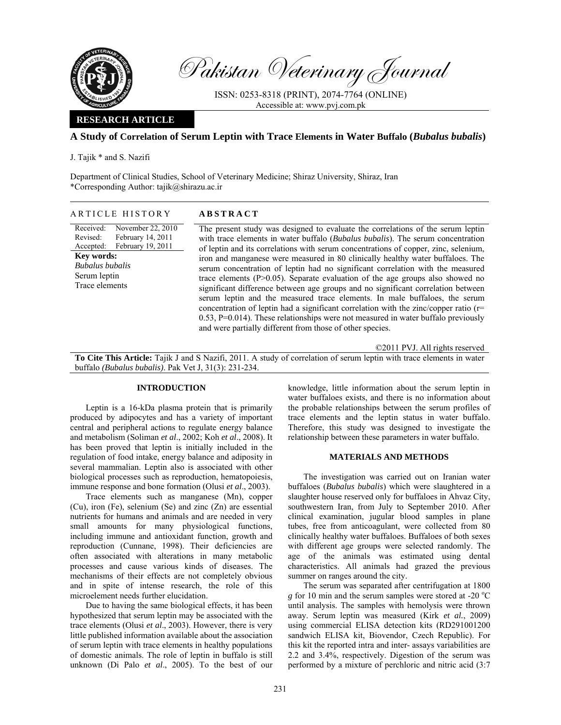

Pakistan Veterinary Journal

ISSN: 0253-8318 (PRINT), 2074-7764 (ONLINE) Accessible at: www.pvj.com.pk

## **RESEARCH ARTICLE**

# **A Study of Correlation of Serum Leptin with Trace Elements in Water Buffalo (***Bubalus bubalis***)**

J. Tajik \* and S. Nazifi

Department of Clinical Studies, School of Veterinary Medicine; Shiraz University, Shiraz, Iran \*Corresponding Author: tajik@shirazu.ac.ir

### ARTICLE HISTORY **ABSTRACT**

Received: Revised: Accepted: November 22, 2010 February 14, 2011 February 19, 2011 **Key words:**  *Bubalus bubalis* Serum leptin Trace elements

The present study was designed to evaluate the correlations of the serum leptin with trace elements in water buffalo (*Bubalus bubalis*). The serum concentration of leptin and its correlations with serum concentrations of copper, zinc, selenium, iron and manganese were measured in 80 clinically healthy water buffaloes. The serum concentration of leptin had no significant correlation with the measured trace elements  $(P>0.05)$ . Separate evaluation of the age groups also showed no significant difference between age groups and no significant correlation between serum leptin and the measured trace elements. In male buffaloes, the serum concentration of leptin had a significant correlation with the zinc/copper ratio (r= 0.53, P=0.014). These relationships were not measured in water buffalo previously and were partially different from those of other species.

©2011 PVJ. All rights reserved

**To Cite This Article:** Tajik J and S Nazifi, 2011. A study of correlation of serum leptin with trace elements in water buffalo *(Bubalus bubalis)*. Pak Vet J, 31(3): 231-234.

# **INTRODUCTION**

Leptin is a 16-kDa plasma protein that is primarily produced by adipocytes and has a variety of important central and peripheral actions to regulate energy balance and metabolism (Soliman *et al*., 2002; Koh *et al*., 2008). It has been proved that leptin is initially included in the regulation of food intake, energy balance and adiposity in several mammalian. Leptin also is associated with other biological processes such as reproduction, hematopoiesis, immune response and bone formation (Olusi *et al*., 2003).

Trace elements such as manganese (Mn), copper (Cu), iron (Fe), selenium (Se) and zinc (Zn) are essential nutrients for humans and animals and are needed in very small amounts for many physiological functions, including immune and antioxidant function, growth and reproduction (Cunnane, 1998). Their deficiencies are often associated with alterations in many metabolic processes and cause various kinds of diseases. The mechanisms of their effects are not completely obvious and in spite of intense research, the role of this microelement needs further elucidation.

Due to having the same biological effects, it has been hypothesized that serum leptin may be associated with the trace elements (Olusi *et al*., 2003). However, there is very little published information available about the association of serum leptin with trace elements in healthy populations of domestic animals. The role of leptin in buffalo is still unknown (Di Palo *et al*., 2005). To the best of our

knowledge, little information about the serum leptin in water buffaloes exists, and there is no information about the probable relationships between the serum profiles of trace elements and the leptin status in water buffalo. Therefore, this study was designed to investigate the relationship between these parameters in water buffalo.

## **MATERIALS AND METHODS**

The investigation was carried out on Iranian water buffaloes (*Bubalus bubalis*) which were slaughtered in a slaughter house reserved only for buffaloes in Ahvaz City, southwestern Iran, from July to September 2010. After clinical examination, jugular blood samples in plane tubes, free from anticoagulant, were collected from 80 clinically healthy water buffaloes. Buffaloes of both sexes with different age groups were selected randomly. The age of the animals was estimated using dental characteristics. All animals had grazed the previous summer on ranges around the city.

The serum was separated after centrifugation at 1800 *g* for 10 min and the serum samples were stored at -20 °C until analysis. The samples with hemolysis were thrown away. Serum leptin was measured (Kirk *et al.*, 2009) using commercial ELISA detection kits (RD291001200 sandwich ELISA kit, Biovendor, Czech Republic). For this kit the reported intra and inter- assays variabilities are 2.2 and 3.4%, respectively. Digestion of the serum was performed by a mixture of perchloric and nitric acid (3:7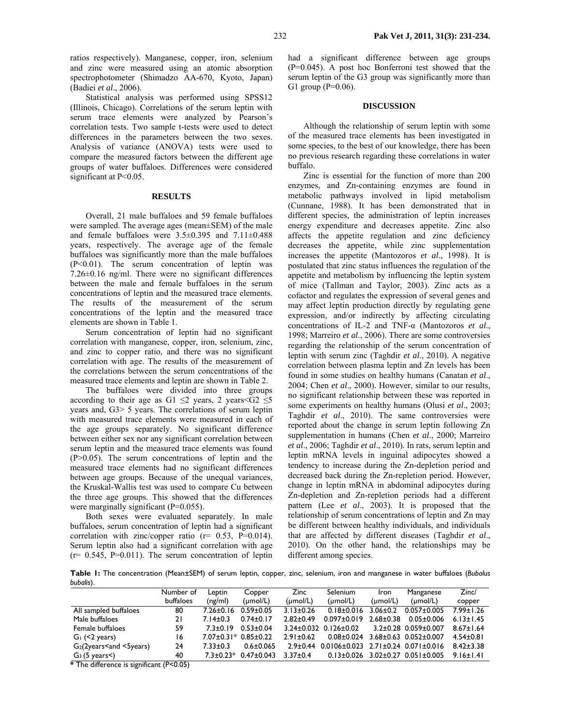ratios respectively). Manganese, copper, iron, selenium and zinc were measured using an atomic absorption spectrophotometer (Shimadzo AA-670, Kyoto, Japan) (Badiei *et al*., 2006).

Statistical analysis was performed using SPSS12 (Illinois, Chicago). Correlations of the serum leptin with serum trace elements were analyzed by Pearson's correlation tests. Two sample t-tests were used to detect differences in the parameters between the two sexes. Analysis of variance (ANOVA) tests were used to compare the measured factors between the different age groups of water buffaloes. Differences were considered significant at P<0.05.

## **RESULTS**

Overall, 21 male buffaloes and 59 female buffaloes were sampled. The average ages (mean±SEM) of the male and female buffaloes were 3.5±0.395 and 7.11±0.488 years, respectively. The average age of the female buffaloes was significantly more than the male buffaloes (P<0.01). The serum concentration of leptin was 7.26±0.16 ng/ml. There were no significant differences between the male and female buffaloes in the serum concentrations of leptin and the measured trace elements. The results of the measurement of the serum concentrations of the leptin and the measured trace elements are shown in Table 1.

Serum concentration of leptin had no significant correlation with manganese, copper, iron, selenium, zinc, and zinc to copper ratio, and there was no significant correlation with age. The results of the measurement of the correlations between the serum concentrations of the measured trace elements and leptin are shown in Table 2.

The buffaloes were divided into three groups according to their age as G1  $\leq$ 2 years, 2 years  $\leq$ 5 years and, G3> 5 years. The correlations of serum leptin with measured trace elements were measured in each of the age groups separately. No significant difference between either sex nor any significant correlation between serum leptin and the measured trace elements was found (P>0.05). The serum concentrations of leptin and the measured trace elements had no significant differences between age groups. Because of the unequal variances, the Kruskal-Wallis test was used to compare Cu between the three age groups. This showed that the differences were marginally significant (P=0.055).

Both sexes were evaluated separately. In male buffaloes, serum concentration of leptin had a significant correlation with zinc/copper ratio ( $r = 0.53$ ,  $P=0.014$ ). Serum leptin also had a significant correlation with age  $(r= 0.545, P=0.011)$ . The serum concentration of leptin

had a significant difference between age groups (P=0.045). A post hoc Bonferroni test showed that the serum leptin of the G3 group was significantly more than G1 group ( $P=0.06$ ).

#### **DISCUSSION**

Although the relationship of serum leptin with some of the measured trace elements has been investigated in some species, to the best of our knowledge, there has been no previous research regarding these correlations in water buffalo.

Zinc is essential for the function of more than 200 enzymes, and Zn-containing enzymes are found in metabolic pathways involved in lipid metabolism (Cunnane, 1988). It has been demonstrated that in different species, the administration of leptin increases energy expenditure and decreases appetite. Zinc also affects the appetite regulation and zinc deficiency decreases the appetite, while zinc supplementation increases the appetite (Mantozoros *et al*., 1998). It is postulated that zinc status influences the regulation of the appetite and metabolism by influencing the leptin system of mice (Tallman and Taylor, 2003). Zinc acts as a cofactor and regulates the expression of several genes and may affect leptin production directly by regulating gene expression, and/or indirectly by affecting circulating concentrations of IL-2 and TNF-α (Mantozoros *et al*., 1998; Marreiro *et al*., 2006). There are some controversies regarding the relationship of the serum concentration of leptin with serum zinc (Taghdir *et al*., 2010). A negative correlation between plasma leptin and Zn levels has been found in some studies on healthy humans (Canatan *et al*., 2004; Chen *et al*., 2000). However, similar to our results, no significant relationship between these was reported in some experiments on healthy humans (Olusi *et al*., 2003; Taghdir *et al*., 2010). The same controversies were reported about the change in serum leptin following Zn supplementation in humans (Chen *et al*., 2000; Marreiro *et al*., 2006; Taghdir *et al*., 2010). In rats, serum leptin and leptin mRNA levels in inguinal adipocytes showed a tendency to increase during the Zn-depletion period and decreased back during the Zn-repletion period. However, change in leptin mRNA in abdominal adipocytes during Zn-depletion and Zn-repletion periods had a different pattern (Lee *et al*., 2003). It is proposed that the relationship of serum concentrations of leptin and Zn may be different between healthy individuals, and individuals that are affected by different diseases (Taghdir *et al*., 2010). On the other hand, the relationships may be different among species.

**Table 1:** The concentration (Mean±SEM) of serum leptin, copper, zinc, selenium, iron and manganese in water buffaloes (*Bubalus bubalis*).

| Number of | Leptin                                        | Copper               | Zinc                                                                                                                           | Selenium             | Iron                            | Manganese            | Zinc/                                                                                                                                                                                                     |
|-----------|-----------------------------------------------|----------------------|--------------------------------------------------------------------------------------------------------------------------------|----------------------|---------------------------------|----------------------|-----------------------------------------------------------------------------------------------------------------------------------------------------------------------------------------------------------|
| buffaloes | (ng/ml)                                       | $(\mu \text{mol/L})$ | $(\mu \text{mol/L})$                                                                                                           | $(\mu \text{mol/L})$ | $(\mu \text{mol/L})$            | $(\mu \text{mol/L})$ | copper                                                                                                                                                                                                    |
| 80        |                                               | $0.59 \pm 0.05$      | $3.13 \pm 0.26$                                                                                                                | $0.18 \pm 0.016$     | $3.06 + 0.2$                    | $0.057 \pm 0.005$    | $7.99 \pm 1.26$                                                                                                                                                                                           |
| 21        | $7.14 \pm 0.3$                                | $0.74 \pm 0.17$      | $2.82 \pm 0.49$                                                                                                                | $0.097 \pm 0.019$    | $2.68 \pm 0.38$                 | $0.05 \pm 0.006$     | $6.13 \pm 1.45$                                                                                                                                                                                           |
| 59        |                                               |                      |                                                                                                                                |                      |                                 |                      | $8.67 \pm 1.64$                                                                                                                                                                                           |
| 16        |                                               |                      | $2.91 + 0.62$                                                                                                                  |                      |                                 |                      | $4.54 \pm 0.81$                                                                                                                                                                                           |
| 24        | $7.33 \pm 0.3$                                | $0.6 \pm 0.065$      |                                                                                                                                |                      |                                 |                      | $8.42 \pm 3.38$                                                                                                                                                                                           |
| 40        |                                               |                      | $3.37 \pm 0.4$                                                                                                                 |                      |                                 |                      | 9.16±1.41                                                                                                                                                                                                 |
|           | $\star$ The difference is desificant (BzQ QE) |                      | $7.26 \pm 0.16$<br>$7.3 \pm 0.19$ $0.53 \pm 0.04$<br>$7.07 \pm 0.31$ * $0.85 \pm 0.22$<br>$0.47 \pm 0.043$<br>$7.3 \pm 0.23$ * |                      | $3.24\pm0.032$ 0.126 $\pm$ 0.02 |                      | $3.2 \pm 0.28$ 0.059 $\pm$ 0.007<br>$0.08\pm0.024$ 3.68 $\pm0.63$ 0.052 $\pm0.007$<br>$2.9\pm0.44$ 0.0106 $\pm$ 0.023 2.71 $\pm$ 0.24 0.071 $\pm$ 0.016<br>$0.13\pm0.026$ 3.02 $\pm0.27$ 0.051 $\pm0.005$ |

**\*** The difference is significant (P<0.05)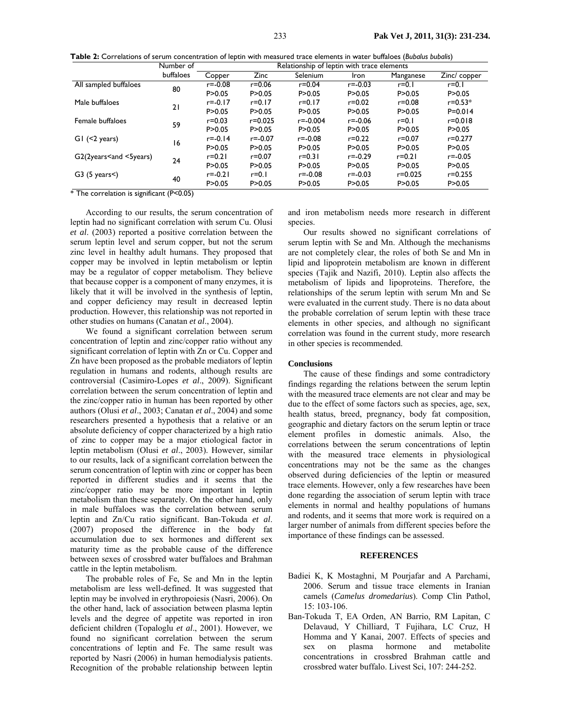| Table 2: Correlations of serum concentration of leptin with measured trace elements in water buffaloes (Bubalus bubalis) |  |
|--------------------------------------------------------------------------------------------------------------------------|--|
|--------------------------------------------------------------------------------------------------------------------------|--|

|                                          | Number of   | Relationship of leptin with trace elements |             |              |             |             |              |  |
|------------------------------------------|-------------|--------------------------------------------|-------------|--------------|-------------|-------------|--------------|--|
|                                          | buffaloes   | Copper                                     | Zinc        | Selenium     | <b>Iron</b> | Manganese   | Zinc/ copper |  |
| All sampled buffaloes                    | 80          | $r = -0.08$                                | $r = 0.06$  | $r = 0.04$   | $r = -0.03$ | $r=0.1$     | $r=0.1$      |  |
|                                          |             | P > 0.05                                   | P > 0.05    | P > 0.05     | P > 0.05    | P > 0.05    | P > 0.05     |  |
| Male buffaloes                           | 21          | $r = -0.17$                                | $r = 0.17$  | $r = 0.17$   | $r = 0.02$  | $r = 0.08$  | $r = 0.53*$  |  |
|                                          |             | P > 0.05                                   | P > 0.05    | P > 0.05     | P > 0.05    | P > 0.05    | $P = 0.014$  |  |
| Female buffaloes                         | 59          | $r = 0.03$                                 | $r = 0.025$ | $r = -0.004$ | $r = -0.06$ | $r=0.1$     | $r = 0.018$  |  |
|                                          |             | P > 0.05                                   | P > 0.05    | P > 0.05     | P > 0.05    | P > 0.05    | P > 0.05     |  |
| $GI$ (<2 years)                          | 16          | $r = -0.14$                                | $r = -0.07$ | $r = -0.08$  | $r = 0.22$  | $r = 0.07$  | $r = 0.277$  |  |
|                                          |             | P > 0.05                                   | P > 0.05    | P > 0.05     | P > 0.05    | P > 0.05    | P > 0.05     |  |
| $G2(2)$ years $\leq$ and $\leq$ 5 years) | 24          | $r = 0.21$                                 | $r = 0.07$  | $r = 0.31$   | $r = -0.29$ | $r = 0.21$  | $r = -0.05$  |  |
|                                          |             | P > 0.05                                   | P > 0.05    | P > 0.05     | P > 0.05    | P > 0.05    | P > 0.05     |  |
| $G3$ (5 years $\leq$ )                   | 40<br>$  -$ | $r = -0.21$                                | $r=0.1$     | $r = -0.08$  | $r = -0.03$ | $r = 0.025$ | $r = 0.255$  |  |
| .<br>$\sim$                              |             | P > 0.05                                   | P > 0.05    | P > 0.05     | P > 0.05    | P > 0.05    | P > 0.05     |  |

\* The correlation is significant (P<0.05)

According to our results, the serum concentration of leptin had no significant correlation with serum Cu. Olusi *et al*. (2003) reported a positive correlation between the serum leptin level and serum copper, but not the serum zinc level in healthy adult humans. They proposed that copper may be involved in leptin metabolism or leptin may be a regulator of copper metabolism. They believe that because copper is a component of many enzymes, it is likely that it will be involved in the synthesis of leptin, and copper deficiency may result in decreased leptin production. However, this relationship was not reported in other studies on humans (Canatan *et al*., 2004).

We found a significant correlation between serum concentration of leptin and zinc/copper ratio without any significant correlation of leptin with Zn or Cu. Copper and Zn have been proposed as the probable mediators of leptin regulation in humans and rodents, although results are controversial (Casimiro-Lopes *et al*., 2009). Significant correlation between the serum concentration of leptin and the zinc/copper ratio in human has been reported by other authors (Olusi *et al*., 2003; Canatan *et al*., 2004) and some researchers presented a hypothesis that a relative or an absolute deficiency of copper characterized by a high ratio of zinc to copper may be a major etiological factor in leptin metabolism (Olusi *et al*., 2003). However, similar to our results, lack of a significant correlation between the serum concentration of leptin with zinc or copper has been reported in different studies and it seems that the zinc/copper ratio may be more important in leptin metabolism than these separately. On the other hand, only in male buffaloes was the correlation between serum leptin and Zn/Cu ratio significant. Ban-Tokuda *et al*. (2007) proposed the difference in the body fat accumulation due to sex hormones and different sex maturity time as the probable cause of the difference between sexes of crossbred water buffaloes and Brahman cattle in the leptin metabolism.

The probable roles of Fe, Se and Mn in the leptin metabolism are less well-defined. It was suggested that leptin may be involved in erythropoiesis (Nasri, 2006). On the other hand, lack of association between plasma leptin levels and the degree of appetite was reported in iron deficient children (Topaloglu *et al*., 2001). However, we found no significant correlation between the serum concentrations of leptin and Fe. The same result was reported by Nasri (2006) in human hemodialysis patients. Recognition of the probable relationship between leptin

and iron metabolism needs more research in different species

Our results showed no significant correlations of serum leptin with Se and Mn. Although the mechanisms are not completely clear, the roles of both Se and Mn in lipid and lipoprotein metabolism are known in different species (Tajik and Nazifi, 2010). Leptin also affects the metabolism of lipids and lipoproteins. Therefore, the relationships of the serum leptin with serum Mn and Se were evaluated in the current study. There is no data about the probable correlation of serum leptin with these trace elements in other species, and although no significant correlation was found in the current study, more research in other species is recommended.

#### **Conclusions**

The cause of these findings and some contradictory findings regarding the relations between the serum leptin with the measured trace elements are not clear and may be due to the effect of some factors such as species, age, sex, health status, breed, pregnancy, body fat composition, geographic and dietary factors on the serum leptin or trace element profiles in domestic animals. Also, the correlations between the serum concentrations of leptin with the measured trace elements in physiological concentrations may not be the same as the changes observed during deficiencies of the leptin or measured trace elements. However, only a few researches have been done regarding the association of serum leptin with trace elements in normal and healthy populations of humans and rodents, and it seems that more work is required on a larger number of animals from different species before the importance of these findings can be assessed.

#### **REFERENCES**

- Badiei K, K Mostaghni, M Pourjafar and A Parchami, 2006. Serum and tissue trace elements in Iranian camels (*Camelus dromedarius*). Comp Clin Pathol, 15: 103-106.
- Ban-Tokuda T, EA Orden, AN Barrio, RM Lapitan, C Delavaud, Y Chilliard, T Fujihara, LC Cruz, H Homma and Y Kanai, 2007. Effects of species and sex on plasma hormone and metabolite concentrations in crossbred Brahman cattle and crossbred water buffalo. Livest Sci, 107: 244-252.